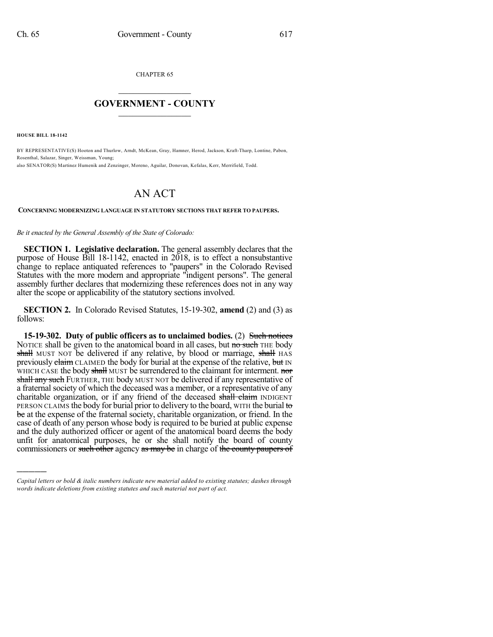CHAPTER 65

## $\mathcal{L}_\text{max}$  . The set of the set of the set of the set of the set of the set of the set of the set of the set of the set of the set of the set of the set of the set of the set of the set of the set of the set of the set **GOVERNMENT - COUNTY**  $\_$

**HOUSE BILL 18-1142**

)))))

BY REPRESENTATIVE(S) Hooton and Thurlow, Arndt, McKean, Gray, Hamner, Herod, Jackson, Kraft-Tharp, Lontine, Pabon, Rosenthal, Salazar, Singer, Weissman, Young; also SENATOR(S) Martinez Humenik and Zenzinger, Moreno, Aguilar, Donovan, Kefalas, Kerr, Merrifield, Todd.

## AN ACT

## **CONCERNING MODERNIZING LANGUAGE IN STATUTORY SECTIONS THAT REFER TO PAUPERS.**

*Be it enacted by the General Assembly of the State of Colorado:*

**SECTION 1. Legislative declaration.** The general assembly declares that the purpose of House Bill 18-1142, enacted in 2018, is to effect a nonsubstantive change to replace antiquated references to "paupers" in the Colorado Revised Statutes with the more modern and appropriate "indigent persons". The general assembly further declares that modernizing these references does not in any way alter the scope or applicability of the statutory sections involved.

**SECTION 2.** In Colorado Revised Statutes, 15-19-302, **amend** (2) and (3) as follows:

**15-19-302. Duty of public officers as to unclaimed bodies.** (2) Such notices NOTICE shall be given to the anatomical board in all cases, but no such THE body shall MUST NOT be delivered if any relative, by blood or marriage, shall HAS previously claim CLAIMED the body for burial at the expense of the relative, but IN WHICH CASE the body shall MUST be surrendered to the claimant for interment. nor shall any such FURTHER, THE body MUST NOT be delivered if any representative of a fraternal society of which the deceased was a member, or a representative of any charitable organization, or if any friend of the deceased shall claim INDIGENT PERSON CLAIMS the body for burial prior to delivery to the board, WITH the burial to be at the expense of the fraternal society, charitable organization, or friend. In the case of death of any person whose body is required to be buried at public expense and the duly authorized officer or agent of the anatomical board deems the body unfit for anatomical purposes, he or she shall notify the board of county commissioners or such other agency as may be in charge of the county paupers of

*Capital letters or bold & italic numbers indicate new material added to existing statutes; dashes through words indicate deletions from existing statutes and such material not part of act.*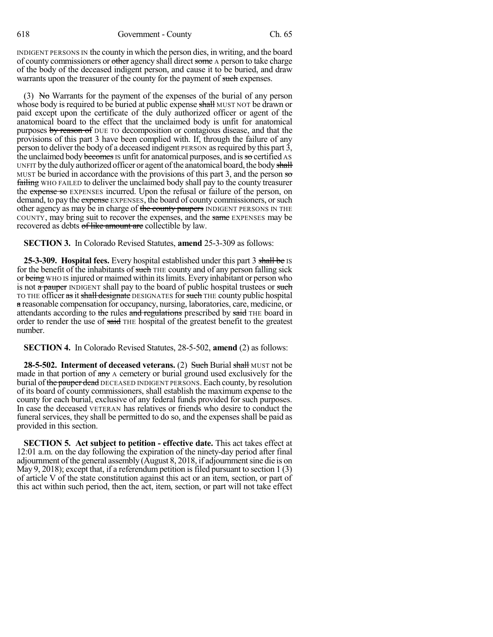INDIGENT PERSONS IN the county in which the person dies, in writing, and the board of county commissioners or other agency shall direct some A person to take charge of the body of the deceased indigent person, and cause it to be buried, and draw warrants upon the treasurer of the county for the payment of such expenses.

(3) No Warrants for the payment of the expenses of the burial of any person whose body is required to be buried at public expense shall MUST NOT be drawn or paid except upon the certificate of the duly authorized officer or agent of the anatomical board to the effect that the unclaimed body is unfit for anatomical purposes by reason of DUE TO decomposition or contagious disease, and that the provisions of this part 3 have been complied with. If, through the failure of any person to deliver the body of a deceased indigent PERSON asrequired by this part 3, the unclaimed body becomes is unfit for anatomical purposes, and is so certified AS UNFIT by the duly authorized officer or agent of the anatomical board, the body shall MUST be buried in accordance with the provisions of this part 3, and the person so failing WHO FAILED to deliver the unclaimed body shall pay to the county treasurer the expense so EXPENSES incurred. Upon the refusal or failure of the person, on demand, to pay the expense EXPENSES, the board of county commissioners, or such other agency as may be in charge of the county paupers INDIGENT PERSONS IN THE COUNTY, may bring suit to recover the expenses, and the same EXPENSES may be recovered as debts of like amount are collectible by law.

**SECTION 3.** In Colorado Revised Statutes, **amend** 25-3-309 as follows:

**25-3-309. Hospital fees.** Every hospital established under this part 3 shall be IS for the benefit of the inhabitants of such THE county and of any person falling sick or being WHO IS injured or maimed within itslimits. Every inhabitant or person who is not a pauper INDIGENT shall pay to the board of public hospital trustees or such TO THE officer as it shall designate DESIGNATES for such THE county public hospital a reasonable compensation for occupancy, nursing, laboratories, care, medicine, or attendants according to the rules and regulations prescribed by said THE board in order to render the use of said THE hospital of the greatest benefit to the greatest number.

**SECTION 4.** In Colorado Revised Statutes, 28-5-502, **amend** (2) as follows:

**28-5-502. Interment of deceased veterans.** (2) Such Burial shall MUST not be made in that portion of  $\frac{day}{dx}$  A cemetery or burial ground used exclusively for the burial of the pauper dead DECEASED INDIGENT PERSONS. Each county, by resolution of its board of county commissioners, shall establish the maximum expense to the county for each burial, exclusive of any federal funds provided for such purposes. In case the deceased VETERAN has relatives or friends who desire to conduct the funeral services, they shall be permitted to do so, and the expenses shall be paid as provided in this section.

**SECTION 5. Act subject to petition - effective date.** This act takes effect at 12:01 a.m. on the day following the expiration of the ninety-day period after final adjournment of the general assembly (August 8, 2018, if adjournmentsine die is on May 9, 2018); except that, if a referendum petition is filed pursuant to section  $1(3)$ of article V of the state constitution against this act or an item, section, or part of this act within such period, then the act, item, section, or part will not take effect